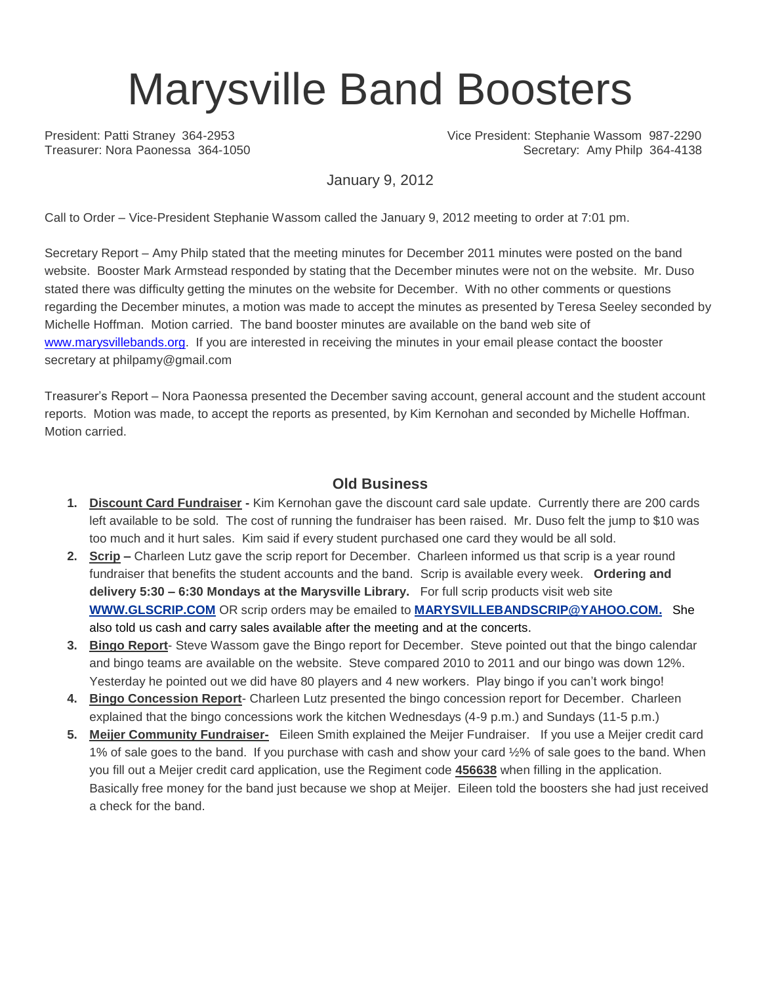# Marysville Band Boosters

President: Patti Straney 364-2953 Vice President: Stephanie Wassom 987-2290 Treasurer: Nora Paonessa 364-1050 Secretary: Amy Philp 364-4138

January 9, 2012

Call to Order – Vice-President Stephanie Wassom called the January 9, 2012 meeting to order at 7:01 pm.

Secretary Report – Amy Philp stated that the meeting minutes for December 2011 minutes were posted on the band website. Booster Mark Armstead responded by stating that the December minutes were not on the website. Mr. Duso stated there was difficulty getting the minutes on the website for December. With no other comments or questions regarding the December minutes, a motion was made to accept the minutes as presented by Teresa Seeley seconded by Michelle Hoffman. Motion carried. The band booster minutes are available on the band web site of [www.marysvillebands.org.](http://www.marysvillebands.org/) If you are interested in receiving the minutes in your email please contact the booster secretary at philpamy@gmail.com

Treasurer's Report – Nora Paonessa presented the December saving account, general account and the student account reports. Motion was made, to accept the reports as presented, by Kim Kernohan and seconded by Michelle Hoffman. Motion carried.

#### **Old Business**

- **1. Discount Card Fundraiser -** Kim Kernohan gave the discount card sale update. Currently there are 200 cards left available to be sold. The cost of running the fundraiser has been raised. Mr. Duso felt the jump to \$10 was too much and it hurt sales. Kim said if every student purchased one card they would be all sold.
- **2. Scrip –** Charleen Lutz gave the scrip report for December. Charleen informed us that scrip is a year round fundraiser that benefits the student accounts and the band. Scrip is available every week. **Ordering and delivery 5:30 – 6:30 Mondays at the Marysville Library.** For full scrip products visit web site **[WWW.GLSCRIP.COM](http://www.glscrip.com/%20/%20_blank)** OR scrip orders may be emailed to **[MARYSVILLEBANDSCRIP@YAHOO.COM.](http://us.f838.mail.yahoo.com/ym/Compose?To=MARYSVILLEBANDSCRIP@YAHOO.COM%20/%20_blank)** She also told us cash and carry sales available after the meeting and at the concerts.
- **3. Bingo Report** Steve Wassom gave the Bingo report for December. Steve pointed out that the bingo calendar and bingo teams are available on the website. Steve compared 2010 to 2011 and our bingo was down 12%. Yesterday he pointed out we did have 80 players and 4 new workers. Play bingo if you can't work bingo!
- **4. Bingo Concession Report** Charleen Lutz presented the bingo concession report for December. Charleen explained that the bingo concessions work the kitchen Wednesdays (4-9 p.m.) and Sundays (11-5 p.m.)
- **5. Meijer Community Fundraiser-** Eileen Smith explained the Meijer Fundraiser. If you use a Meijer credit card 1% of sale goes to the band. If you purchase with cash and show your card ½% of sale goes to the band. When you fill out a Meijer credit card application, use the Regiment code **456638** when filling in the application. Basically free money for the band just because we shop at Meijer. Eileen told the boosters she had just received a check for the band.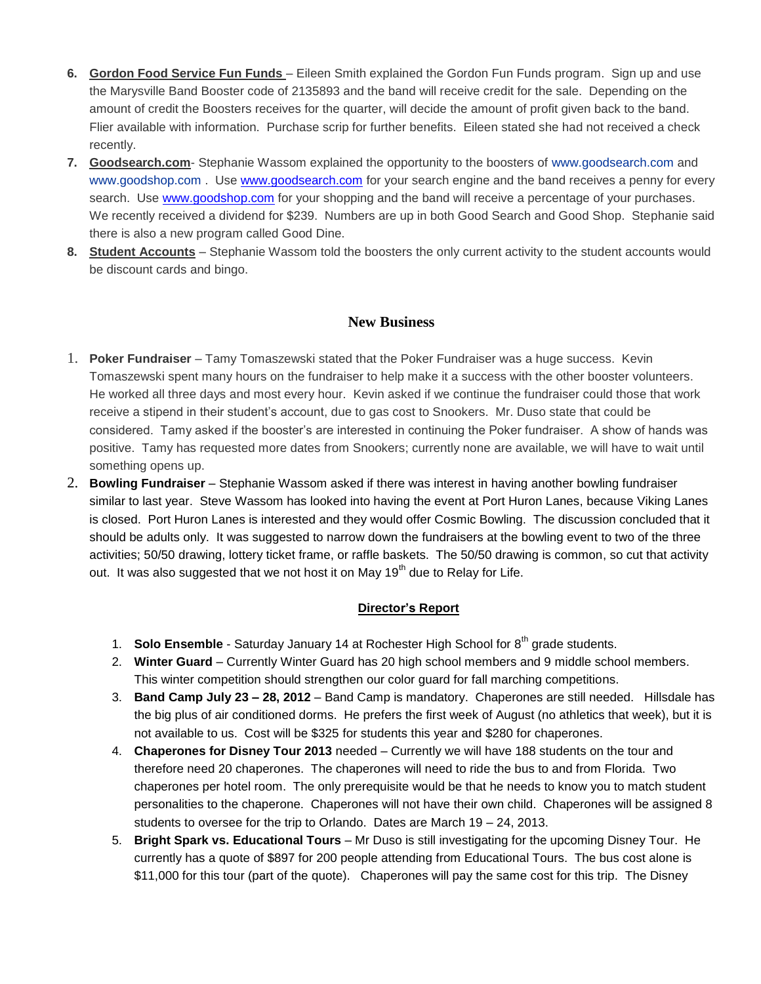- **6. Gordon Food Service Fun Funds**  Eileen Smith explained the Gordon Fun Funds program. Sign up and use the Marysville Band Booster code of 2135893 and the band will receive credit for the sale. Depending on the amount of credit the Boosters receives for the quarter, will decide the amount of profit given back to the band. Flier available with information. Purchase scrip for further benefits. Eileen stated she had not received a check recently.
- **7. Goodsearch.com** Stephanie Wassom explained the opportunity to the boosters of [www.goodsearch.com](http://www.goodsearch.com/) and [www.goodshop.com](http://www.goodshop.com/) . Use [www.goodsearch.com](http://www.goodsearch.com/) for your search engine and the band receives a penny for every search. Use [www.goodshop.com](http://www.goodshop.com/) for your shopping and the band will receive a percentage of your purchases. We recently received a dividend for \$239. Numbers are up in both Good Search and Good Shop. Stephanie said there is also a new program called Good Dine.
- **8. Student Accounts** Stephanie Wassom told the boosters the only current activity to the student accounts would be discount cards and bingo.

### **New Business**

- 1. **Poker Fundraiser** Tamy Tomaszewski stated that the Poker Fundraiser was a huge success. Kevin Tomaszewski spent many hours on the fundraiser to help make it a success with the other booster volunteers. He worked all three days and most every hour. Kevin asked if we continue the fundraiser could those that work receive a stipend in their student's account, due to gas cost to Snookers. Mr. Duso state that could be considered. Tamy asked if the booster's are interested in continuing the Poker fundraiser. A show of hands was positive. Tamy has requested more dates from Snookers; currently none are available, we will have to wait until something opens up.
- 2. **Bowling Fundraiser** Stephanie Wassom asked if there was interest in having another bowling fundraiser similar to last year. Steve Wassom has looked into having the event at Port Huron Lanes, because Viking Lanes is closed. Port Huron Lanes is interested and they would offer Cosmic Bowling. The discussion concluded that it should be adults only. It was suggested to narrow down the fundraisers at the bowling event to two of the three activities; 50/50 drawing, lottery ticket frame, or raffle baskets. The 50/50 drawing is common, so cut that activity out. It was also suggested that we not host it on May  $19<sup>th</sup>$  due to Relay for Life.

#### **Director's Report**

- 1. **Solo Ensemble** Saturday January 14 at Rochester High School for 8<sup>th</sup> grade students.
- 2. **Winter Guard** Currently Winter Guard has 20 high school members and 9 middle school members. This winter competition should strengthen our color guard for fall marching competitions.
- 3. **Band Camp July 23 – 28, 2012** Band Camp is mandatory. Chaperones are still needed. Hillsdale has the big plus of air conditioned dorms. He prefers the first week of August (no athletics that week), but it is not available to us. Cost will be \$325 for students this year and \$280 for chaperones.
- 4. **Chaperones for Disney Tour 2013** needed Currently we will have 188 students on the tour and therefore need 20 chaperones. The chaperones will need to ride the bus to and from Florida. Two chaperones per hotel room. The only prerequisite would be that he needs to know you to match student personalities to the chaperone. Chaperones will not have their own child. Chaperones will be assigned 8 students to oversee for the trip to Orlando. Dates are March 19 – 24, 2013.
- 5. **Bright Spark vs. Educational Tours** Mr Duso is still investigating for the upcoming Disney Tour. He currently has a quote of \$897 for 200 people attending from Educational Tours. The bus cost alone is \$11,000 for this tour (part of the quote). Chaperones will pay the same cost for this trip. The Disney